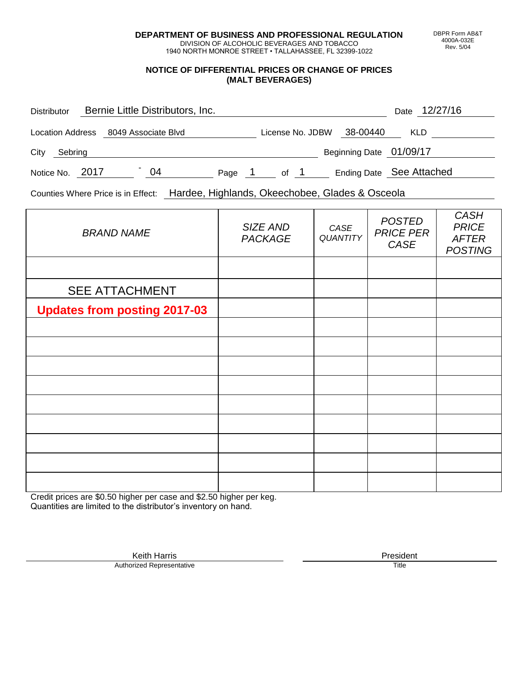**DEPARTMENT OF BUSINESS AND PROFESSIONAL REGULATION** DIVISION OF ALCOHOLIC BEVERAGES AND TOBACCO

1940 NORTH MONROE STREET • TALLAHASSEE, FL 32399-1022

## **NOTICE OF DIFFERENTIAL PRICES OR CHANGE OF PRICES (MALT BEVERAGES)**

| Bernie Little Distributors, Inc.<br><b>Distributor</b> |                                      |    |        |  |                  |  |                         | Date 12/27/16            |
|--------------------------------------------------------|--------------------------------------|----|--------|--|------------------|--|-------------------------|--------------------------|
|                                                        | Location Address 8049 Associate Blvd |    |        |  | License No. JDBW |  | 38-00440                | <b>KLD</b>               |
| City<br>Sebring                                        |                                      |    |        |  |                  |  | Beginning Date 01/09/17 |                          |
| Notice No. 2017                                        |                                      | 04 | Page 1 |  | of 1             |  |                         | Ending Date See Attached |

Counties Where Price is in Effect: Hardee, Highlands, Okeechobee, Glades & Osceola

| <b>BRAND NAME</b>                   | SIZE AND<br><b>PACKAGE</b> | CASE<br><b>QUANTITY</b> | <b>POSTED</b><br><b>PRICE PER</b><br>CASE | <b>CASH</b><br><b>PRICE</b><br><b>AFTER</b><br><b>POSTING</b> |
|-------------------------------------|----------------------------|-------------------------|-------------------------------------------|---------------------------------------------------------------|
|                                     |                            |                         |                                           |                                                               |
| <b>SEE ATTACHMENT</b>               |                            |                         |                                           |                                                               |
| <b>Updates from posting 2017-03</b> |                            |                         |                                           |                                                               |
|                                     |                            |                         |                                           |                                                               |
|                                     |                            |                         |                                           |                                                               |
|                                     |                            |                         |                                           |                                                               |
|                                     |                            |                         |                                           |                                                               |
|                                     |                            |                         |                                           |                                                               |
|                                     |                            |                         |                                           |                                                               |
|                                     |                            |                         |                                           |                                                               |
|                                     |                            |                         |                                           |                                                               |
|                                     |                            |                         |                                           |                                                               |

Credit prices are \$0.50 higher per case and \$2.50 higher per keg. Quantities are limited to the distributor's inventory on hand.

> Keith Harris **President**<br> **President**<br>
> Prized Representative **President** Authorized Representative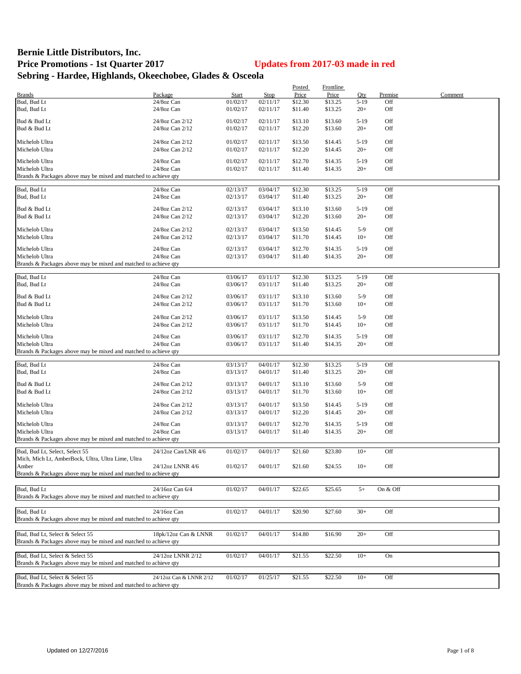## **Bernie Little Distributors, Inc. Price Promotions - 1st Quarter 2017 Updates from 2017-03 made in red Sebring - Hardee, Highlands, Okeechobee, Glades & Osceola**

|                                                                 |                         |              |          | Posted  | Frontline |        |          |         |
|-----------------------------------------------------------------|-------------------------|--------------|----------|---------|-----------|--------|----------|---------|
| <b>Brands</b>                                                   | Package                 | <b>Start</b> | Stop     | Price   | Price     | Qty    | Premise  | Comment |
| Bud, Bud Lt                                                     | 24/8oz Can              | 01/02/17     | 02/11/17 | \$12.30 | \$13.25   | $5-19$ | Off      |         |
| Bud, Bud Lt                                                     | 24/8oz Can              | 01/02/17     | 02/11/17 | \$11.40 | \$13.25   | $20+$  | Off      |         |
|                                                                 |                         |              |          |         |           |        |          |         |
| Bud & Bud Lt                                                    | 24/8oz Can 2/12         | 01/02/17     | 02/11/17 | \$13.10 | \$13.60   | $5-19$ | Off      |         |
| Bud & Bud Lt                                                    | 24/8oz Can 2/12         | 01/02/17     | 02/11/17 | \$12.20 | \$13.60   | $20+$  | Off      |         |
| Michelob Ultra                                                  | 24/8oz Can 2/12         | 01/02/17     | 02/11/17 | \$13.50 | \$14.45   | $5-19$ | Off      |         |
| Michelob Ultra                                                  | 24/8oz Can 2/12         | 01/02/17     | 02/11/17 | \$12.20 | \$14.45   | $20+$  | Off      |         |
|                                                                 |                         |              |          |         |           |        |          |         |
| Michelob Ultra                                                  | 24/8oz Can              | 01/02/17     | 02/11/17 | \$12.70 | \$14.35   | $5-19$ | Off      |         |
| Michelob Ultra                                                  | 24/8oz Can              | 01/02/17     | 02/11/17 | \$11.40 | \$14.35   | $20+$  | Off      |         |
| Brands & Packages above may be mixed and matched to achieve qty |                         |              |          |         |           |        |          |         |
|                                                                 |                         |              |          |         |           |        |          |         |
| Bud, Bud Lt                                                     | 24/8oz Can              | 02/13/17     | 03/04/17 | \$12.30 | \$13.25   | $5-19$ | Off      |         |
| Bud, Bud Lt                                                     | 24/8oz Can              | 02/13/17     | 03/04/17 | \$11.40 | \$13.25   | $20+$  | Off      |         |
|                                                                 |                         |              |          |         |           |        |          |         |
| Bud & Bud Lt                                                    | 24/8oz Can 2/12         | 02/13/17     | 03/04/17 | \$13.10 | \$13.60   | $5-19$ | Off      |         |
| Bud & Bud Lt                                                    | 24/8oz Can 2/12         | 02/13/17     | 03/04/17 | \$12.20 | \$13.60   | $20+$  | Off      |         |
| Michelob Ultra                                                  | 24/8oz Can 2/12         | 02/13/17     | 03/04/17 | \$13.50 | \$14.45   | $5-9$  | Off      |         |
|                                                                 |                         |              |          |         |           | $10+$  | Off      |         |
| Michelob Ultra                                                  | 24/8oz Can 2/12         | 02/13/17     | 03/04/17 | \$11.70 | \$14.45   |        |          |         |
| Michelob Ultra                                                  | 24/8oz Can              | 02/13/17     | 03/04/17 | \$12.70 | \$14.35   | $5-19$ | Off      |         |
| Michelob Ultra                                                  | 24/8oz Can              | 02/13/17     | 03/04/17 | \$11.40 | \$14.35   | $20+$  | Off      |         |
| Brands & Packages above may be mixed and matched to achieve qty |                         |              |          |         |           |        |          |         |
|                                                                 |                         |              |          |         |           |        |          |         |
| Bud, Bud Lt                                                     | 24/8oz Can              | 03/06/17     | 03/11/17 | \$12.30 | \$13.25   | $5-19$ | Off      |         |
| Bud, Bud Lt                                                     | 24/8oz Can              | 03/06/17     | 03/11/17 | \$11.40 | \$13.25   | $20+$  | Off      |         |
|                                                                 |                         |              |          |         |           |        |          |         |
| Bud & Bud Lt                                                    | 24/8oz Can 2/12         | 03/06/17     | 03/11/17 | \$13.10 | \$13.60   | $5-9$  | Off      |         |
| Bud & Bud Lt                                                    | 24/8oz Can 2/12         | 03/06/17     | 03/11/17 | \$11.70 | \$13.60   | $10+$  | Off      |         |
|                                                                 |                         |              |          |         |           |        |          |         |
| Michelob Ultra                                                  | 24/8oz Can 2/12         | 03/06/17     | 03/11/17 | \$13.50 | \$14.45   | $5-9$  | Off      |         |
| Michelob Ultra                                                  | 24/8oz Can 2/12         | 03/06/17     | 03/11/17 | \$11.70 | \$14.45   | $10+$  | Off      |         |
|                                                                 |                         |              |          |         |           |        |          |         |
| Michelob Ultra                                                  | 24/8oz Can              | 03/06/17     | 03/11/17 | \$12.70 | \$14.35   | $5-19$ | Off      |         |
| Michelob Ultra                                                  | 24/8oz Can              | 03/06/17     | 03/11/17 | \$11.40 | \$14.35   | $20+$  | Off      |         |
| Brands & Packages above may be mixed and matched to achieve qty |                         |              |          |         |           |        |          |         |
| Bud, Bud Lt                                                     | 24/8oz Can              | 03/13/17     | 04/01/17 | \$12.30 | \$13.25   | $5-19$ | Off      |         |
| Bud, Bud Lt                                                     | 24/8oz Can              | 03/13/17     | 04/01/17 | \$11.40 | \$13.25   | $20+$  | Off      |         |
|                                                                 |                         |              |          |         |           |        |          |         |
| Bud & Bud Lt                                                    | 24/8oz Can 2/12         | 03/13/17     | 04/01/17 | \$13.10 | \$13.60   | $5-9$  | Off      |         |
| Bud & Bud Lt                                                    | 24/8oz Can 2/12         | 03/13/17     | 04/01/17 | \$11.70 | \$13.60   | $10+$  | Off      |         |
|                                                                 |                         |              |          |         |           |        |          |         |
| Michelob Ultra                                                  | 24/8oz Can 2/12         | 03/13/17     | 04/01/17 | \$13.50 | \$14.45   | $5-19$ | Off      |         |
| Michelob Ultra                                                  | 24/8oz Can 2/12         | 03/13/17     | 04/01/17 | \$12.20 | \$14.45   | $20+$  | Off      |         |
|                                                                 |                         |              |          |         |           |        |          |         |
| Michelob Ultra                                                  | 24/8oz Can              | 03/13/17     | 04/01/17 | \$12.70 | \$14.35   | $5-19$ | Off      |         |
| Michelob Ultra                                                  | 24/8oz Can              | 03/13/17     | 04/01/17 | \$11.40 | \$14.35   | $20+$  | Off      |         |
| Brands & Packages above may be mixed and matched to achieve qty |                         |              |          |         |           |        |          |         |
| Bud, Bud Lt, Select, Select 55                                  | 24/12oz Can/LNR 4/6     | 01/02/17     | 04/01/17 | \$21.60 | \$23.80   | $10+$  | Off      |         |
|                                                                 |                         |              |          |         |           |        |          |         |
| Mich, Mich Lt, AmberBock, Ultra, Ultra Lime, Ultra              |                         |              |          |         |           |        |          |         |
| Amber                                                           | 24/12oz LNNR 4/6        | 01/02/17     | 04/01/17 | \$21.60 | \$24.55   | $10+$  | Off      |         |
| Brands & Packages above may be mixed and matched to achieve qty |                         |              |          |         |           |        |          |         |
|                                                                 |                         |              |          |         |           |        |          |         |
| Bud, Bud Lt                                                     | 24/16oz Can 6/4         | 01/02/17     | 04/01/17 | \$22.65 | \$25.65   | $5+$   | On & Off |         |
| Brands & Packages above may be mixed and matched to achieve qty |                         |              |          |         |           |        |          |         |
|                                                                 |                         |              |          |         |           |        |          |         |
| Bud, Bud Lt                                                     | 24/16oz Can             | 01/02/17     | 04/01/17 | \$20.90 | \$27.60   | $30+$  | Off      |         |
| Brands & Packages above may be mixed and matched to achieve qty |                         |              |          |         |           |        |          |         |
|                                                                 |                         |              |          |         |           |        |          |         |
| Bud, Bud Lt, Select & Select 55                                 | 18pk/12oz Can & LNNR    | 01/02/17     | 04/01/17 | \$14.80 | \$16.90   | $20+$  | Off      |         |
| Brands & Packages above may be mixed and matched to achieve qty |                         |              |          |         |           |        |          |         |
|                                                                 |                         |              |          |         |           |        |          |         |
| Bud, Bud Lt, Select & Select 55                                 | 24/12oz LNNR 2/12       | 01/02/17     | 04/01/17 | \$21.55 | \$22.50   | $10+$  | On       |         |
| Brands & Packages above may be mixed and matched to achieve qty |                         |              |          |         |           |        |          |         |
|                                                                 |                         |              |          |         |           |        |          |         |
| Bud, Bud Lt, Select & Select 55                                 | 24/12oz Can & LNNR 2/12 | 01/02/17     | 01/25/17 | \$21.55 | \$22.50   | $10+$  | Off      |         |
| Brands & Packages above may be mixed and matched to achieve qty |                         |              |          |         |           |        |          |         |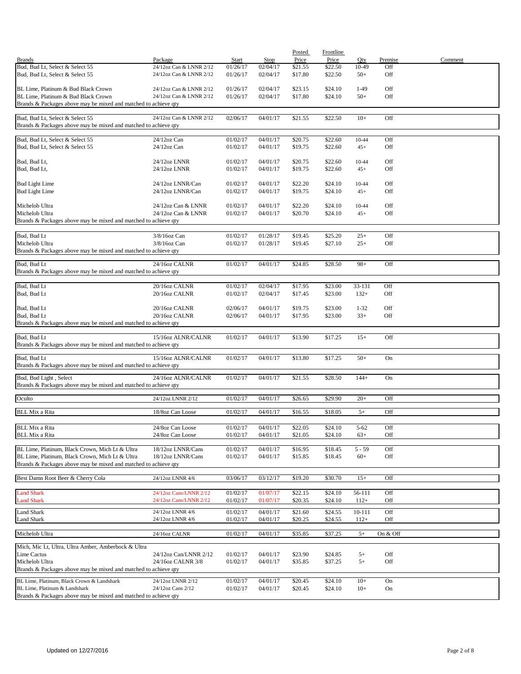|                                                                                                    |                                                    |                          |                  | Posted           | <b>Frontline</b> |              |            |         |
|----------------------------------------------------------------------------------------------------|----------------------------------------------------|--------------------------|------------------|------------------|------------------|--------------|------------|---------|
| <b>Brands</b><br>Bud, Bud Lt, Select & Select 55                                                   | Package                                            | <b>Start</b><br>01/26/17 | Stop<br>02/04/17 | Price<br>\$21.55 | Price<br>\$22.50 | Qty<br>10-49 | Premise    | Comment |
| Bud, Bud Lt, Select & Select 55                                                                    | 24/12oz Can & LNNR 2/12<br>24/12oz Can & LNNR 2/12 | 01/26/17                 | 02/04/17         | \$17.80          | \$22.50          | $50+$        | Off<br>Off |         |
| BL Lime, Platinum & Bud Black Crown                                                                | 24/12oz Can & LNNR 2/12                            | 01/26/17                 | 02/04/17         | \$23.15          | \$24.10          | $1-49$       | Off        |         |
| BL Lime, Platinum & Bud Black Crown                                                                | 24/12oz Can & LNNR 2/12                            | 01/26/17                 | 02/04/17         | \$17.80          | \$24.10          | $50+$        | Off        |         |
| Brands & Packages above may be mixed and matched to achieve qty                                    |                                                    |                          |                  |                  |                  |              |            |         |
| Bud, Bud Lt, Select & Select 55<br>Brands & Packages above may be mixed and matched to achieve qty | 24/12oz Can & LNNR 2/12                            | 02/06/17                 | 04/01/17         | \$21.55          | \$22.50          | $10+$        | Off        |         |
|                                                                                                    |                                                    |                          |                  |                  |                  |              |            |         |
| Bud, Bud Lt, Select & Select 55                                                                    | 24/12oz Can                                        | 01/02/17                 | 04/01/17         | \$20.75          | \$22.60          | 10-44        | Off        |         |
| Bud, Bud Lt, Select & Select 55                                                                    | $24/12$ oz Can                                     | 01/02/17                 | 04/01/17         | \$19.75          | \$22.60          | $45+$        | Off        |         |
| Bud, Bud Lt,                                                                                       | 24/12oz LNNR                                       | 01/02/17                 | 04/01/17         | \$20.75          | \$22.60          | 10-44        | Off        |         |
| Bud, Bud Lt,                                                                                       | 24/12oz LNNR                                       | 01/02/17                 | 04/01/17         | \$19.75          | \$22.60          | $45+$        | Off        |         |
| <b>Bud Light Lime</b>                                                                              | 24/12oz LNNR/Can                                   | 01/02/17                 | 04/01/17         | \$22.20          | \$24.10          | 10-44        | Off        |         |
| <b>Bud Light Lime</b>                                                                              | 24/12oz LNNR/Can                                   | 01/02/17                 | 04/01/17         | \$19.75          | \$24.10          | $45+$        | Off        |         |
| Michelob Ultra                                                                                     | 24/12oz Can & LNNR                                 | 01/02/17                 | 04/01/17         | \$22.20          | \$24.10          | 10-44        | Off        |         |
| Michelob Ultra                                                                                     | 24/12oz Can & LNNR                                 | 01/02/17                 | 04/01/17         | \$20.70          | \$24.10          | $45+$        | Off        |         |
| Brands & Packages above may be mixed and matched to achieve qty                                    |                                                    |                          |                  |                  |                  |              |            |         |
| Bud, Bud Lt                                                                                        | 3/8/16oz Can                                       | 01/02/17                 | 01/28/17         | \$19.45          | \$25.20          | $25+$        | Off        |         |
| Michelob Ultra                                                                                     | 3/8/16oz Can                                       | 01/02/17                 | 01/28/17         | \$19.45          | \$27.10          | $25+$        | Off        |         |
| Brands & Packages above may be mixed and matched to achieve qty                                    |                                                    |                          |                  |                  |                  |              |            |         |
| Bud, Bud Lt                                                                                        | 24/16oz CALNR                                      | 01/02/17                 | 04/01/17         | \$24.85          | \$28.50          | $98+$        | Off        |         |
| Brands & Packages above may be mixed and matched to achieve qty                                    |                                                    |                          |                  |                  |                  |              |            |         |
| Bud, Bud Lt                                                                                        | 20/16oz CALNR                                      | 01/02/17                 | 02/04/17         | \$17.95          | \$23.00          | 33-131       | Off        |         |
| Bud, Bud Lt                                                                                        | 20/16oz CALNR                                      | 01/02/17                 | 02/04/17         | \$17.45          | \$23.00          | $132+$       | Off        |         |
| Bud, Bud Lt                                                                                        | 20/16oz CALNR                                      | 02/06/17                 | 04/01/17         | \$19.75          | \$23.00          | $1 - 32$     | Off        |         |
| Bud, Bud Lt                                                                                        | 20/16oz CALNR                                      | 02/06/17                 | 04/01/17         | \$17.95          | \$23.00          | $33+$        | Off        |         |
| Brands & Packages above may be mixed and matched to achieve qty                                    |                                                    |                          |                  |                  |                  |              |            |         |
| Bud, Bud Lt<br>Brands & Packages above may be mixed and matched to achieve qty                     | 15/16oz ALNR/CALNR                                 | 01/02/17                 | 04/01/17         | \$13.90          | \$17.25          | $15+$        | Off        |         |
| Bud, Bud Lt                                                                                        | 15/16oz ALNR/CALNR                                 | 01/02/17                 | 04/01/17         | \$13.80          | \$17.25          | $50+$        | On         |         |
| Brands & Packages above may be mixed and matched to achieve qty                                    |                                                    |                          |                  |                  |                  |              |            |         |
| Bud, Bud Light, Select<br>Brands & Packages above may be mixed and matched to achieve qty          | 24/16oz ALNR/CALNR                                 | 01/02/17                 | 04/01/17         | \$21.55          | \$28.50          | $144+$       | On         |         |
|                                                                                                    |                                                    |                          |                  |                  |                  |              |            |         |
| Oculto                                                                                             | 24/12oz LNNR 2/12                                  | 01/02/17                 | 04/01/17         | \$26.65          | \$29.90          | $20+$        | Off        |         |
| <b>BLL Mix a Rita</b>                                                                              | 18/8oz Can Loose                                   | 01/02/17                 | 04/01/17         | \$16.55          | \$18.05          | $5+$         | Off        |         |
|                                                                                                    |                                                    |                          |                  |                  |                  |              |            |         |
| <b>BLL Mix a Rita</b>                                                                              | 24/8oz Can Loose                                   | 01/02/17                 | 04/01/17         | \$22.05          | \$24.10          | $5 - 62$     | Off        |         |
| <b>BLL Mix a Rita</b>                                                                              | 24/8oz Can Loose                                   | 01/02/17                 | 04/01/17         | \$21.05          | \$24.10          | $63+$        | Off        |         |
| BL Lime, Platinum, Black Crown, Mich Lt & Ultra                                                    | 18/12oz LNNR/Cans                                  | 01/02/17                 | 04/01/17         | \$16.95          | \$18.45          | $5 - 59$     | Off        |         |
| BL Lime, Platinum, Black Crown, Mich Lt & Ultra                                                    | 18/12oz LNNR/Cans                                  | 01/02/17                 | 04/01/17         | \$15.85          | \$18.45          | $60+$        | Off        |         |
| Brands & Packages above may be mixed and matched to achieve qty                                    |                                                    |                          |                  |                  |                  |              |            |         |
| Best Damn Root Beer & Cherry Cola                                                                  | 24/12oz LNNR 4/6                                   | 03/06/17                 | 03/12/17         | \$19.20          | \$30.70          | $15+$        | Off        |         |
|                                                                                                    |                                                    |                          |                  |                  |                  |              |            |         |
| <b>Land Shark</b>                                                                                  | 24/12oz Cans/LNNR 2/12                             | 01/02/17                 | 01/07/17         | \$22.15          | \$24.10          | 56-111       | Off        |         |
| <b>Land Shark</b>                                                                                  | 24/12oz Cans/LNNR 2/12                             | 01/02/17                 | 01/07/17         | \$20.35          | \$24.10          | $112+$       | Off        |         |
| <b>Land Shark</b>                                                                                  | 24/12oz LNNR 4/6                                   | 01/02/17                 | 04/01/17         | \$21.60          | \$24.55          | 10-111       | Off        |         |
| Land Shark                                                                                         | 24/12oz LNNR 4/6                                   | 01/02/17                 | 04/01/17         | \$20.25          | \$24.55          | $112+$       | Off        |         |
| Michelob Ultra                                                                                     | 24/16oz CALNR                                      | 01/02/17                 | 04/01/17         | \$35.85          | \$37.25          | $5+$         | On & Off   |         |
| Mich, Mic Lt, Ultra, Ultra Amber, Amberbock & Ultra                                                |                                                    |                          |                  |                  |                  |              |            |         |
| Lime Cactus                                                                                        | 24/12oz Can/LNNR 2/12                              | 01/02/17                 | 04/01/17         | \$23.90          | \$24.85          | $5+$         | Off        |         |
| Michelob Ultra                                                                                     | 24/16oz CALNR 3/8                                  | 01/02/17                 | 04/01/17         | \$35.85          | \$37.25          | $5+$         | Off        |         |
| Brands & Packages above may be mixed and matched to achieve qty                                    |                                                    |                          |                  |                  |                  |              |            |         |
| BL Lime, Platinum, Black Crown & Landshark                                                         | 24/12oz LNNR 2/12                                  | 01/02/17                 | 04/01/17         | \$20.45          | \$24.10          | $10+$        | On         |         |
| BL Lime, Platinum & Landshark                                                                      | 24/12oz Cans 2/12                                  | 01/02/17                 | 04/01/17         | \$20.45          | \$24.10          | $10+$        | On         |         |
| Brands & Packages above may be mixed and matched to achieve qty                                    |                                                    |                          |                  |                  |                  |              |            |         |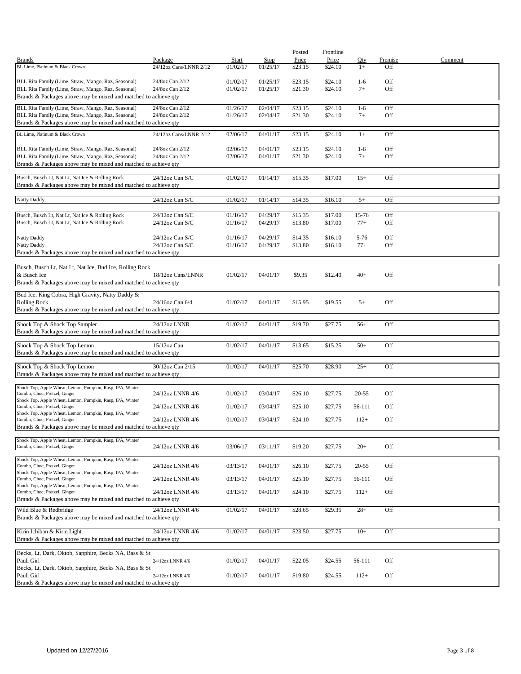|                                                                                                                    |                                       |                      |                      | Posted             | Frontline          |                   |            |         |
|--------------------------------------------------------------------------------------------------------------------|---------------------------------------|----------------------|----------------------|--------------------|--------------------|-------------------|------------|---------|
| <b>Brands</b>                                                                                                      | Package                               | Start                | Stop                 | Price              | Price              | Qty               | Premise    | Comment |
| BL Lime, Platinum & Black Crown                                                                                    | 24/12oz Cans/LNNR 2/12                | 01/02/17             | 01/25/17             | \$23.15            | \$24.10            | $1+$              | Off        |         |
| BLL Rita Family (Lime, Straw, Mango, Raz, Seasonal)                                                                | 24/8oz Can 2/12                       | 01/02/17             | 01/25/17             | \$23.15            | \$24.10            | $1-6$             | Off        |         |
| BLL Rita Family (Lime, Straw, Mango, Raz, Seasonal)                                                                | 24/8oz Can 2/12                       | 01/02/17             | 01/25/17             | \$21.30            | \$24.10            | $7+$              | Off        |         |
| Brands & Packages above may be mixed and matched to achieve qty                                                    |                                       |                      |                      |                    |                    |                   |            |         |
| BLL Rita Family (Lime, Straw, Mango, Raz, Seasonal)                                                                | 24/8oz Can 2/12                       | 01/26/17             | 02/04/17             | \$23.15            | \$24.10            | $1-6$             | Off        |         |
| BLL Rita Family (Lime, Straw, Mango, Raz, Seasonal)                                                                | 24/8oz Can 2/12                       | 01/26/17             | 02/04/17             | \$21.30            | \$24.10            | $7+$              | Off        |         |
| Brands & Packages above may be mixed and matched to achieve qty                                                    |                                       |                      |                      |                    |                    |                   |            |         |
| BL Lime, Platinum & Black Crown                                                                                    | 24/12oz Cans/LNNR 2/12                |                      |                      |                    |                    | $1+$              | Off        |         |
|                                                                                                                    |                                       | 02/06/17             | 04/01/17             | \$23.15            | \$24.10            |                   |            |         |
| BLL Rita Family (Lime, Straw, Mango, Raz, Seasonal)                                                                | 24/8oz Can 2/12                       | 02/06/17             | 04/01/17             | \$23.15            | \$24.10            | $1-6$             | Off        |         |
| BLL Rita Family (Lime, Straw, Mango, Raz, Seasonal)                                                                | 24/8oz Can 2/12                       | 02/06/17             | 04/01/17             | \$21.30            | \$24.10            | $7+$              | Off        |         |
| Brands & Packages above may be mixed and matched to achieve qty                                                    |                                       |                      |                      |                    |                    |                   |            |         |
|                                                                                                                    |                                       |                      |                      |                    |                    |                   |            |         |
| Busch, Busch Lt, Nat Lt, Nat Ice & Rolling Rock<br>Brands & Packages above may be mixed and matched to achieve qty | $24/12$ oz Can S/C                    | 01/02/17             | 01/14/17             | \$15.35            | \$17.00            | $15+$             | Off        |         |
|                                                                                                                    |                                       |                      |                      |                    |                    |                   |            |         |
| Natty Daddy                                                                                                        | 24/12oz Can S/C                       | 01/02/17             | 01/14/17             | \$14.35            | \$16.10            | $5+$              | Off        |         |
|                                                                                                                    |                                       |                      |                      |                    |                    |                   |            |         |
| Busch, Busch Lt, Nat Lt, Nat Ice & Rolling Rock                                                                    | 24/12oz Can S/C                       | 01/16/17             | 04/29/17             | \$15.35            | \$17.00            | 15-76             | Off        |         |
| Busch, Busch Lt, Nat Lt, Nat Ice & Rolling Rock                                                                    | $24/12$ oz Can S/C                    | 01/16/17             | 04/29/17             | \$13.80            | \$17.00            | $77+$             | Off        |         |
|                                                                                                                    |                                       |                      |                      |                    |                    |                   |            |         |
| Natty Daddy<br>Natty Daddy                                                                                         | $24/12$ oz Can S/C<br>24/12oz Can S/C | 01/16/17<br>01/16/17 | 04/29/17<br>04/29/17 | \$14.35<br>\$13.80 | \$16.10<br>\$16.10 | $5 - 76$<br>$77+$ | Off<br>Off |         |
| Brands & Packages above may be mixed and matched to achieve qty                                                    |                                       |                      |                      |                    |                    |                   |            |         |
|                                                                                                                    |                                       |                      |                      |                    |                    |                   |            |         |
| Busch, Busch Lt, Nat Lt, Nat Ice, Bud Ice, Rolling Rock                                                            |                                       |                      |                      |                    |                    |                   |            |         |
| & Busch Ice                                                                                                        | 18/12oz Cans/LNNR                     | 01/02/17             | 04/01/17             | \$9.35             | \$12.40            | $40+$             | Off        |         |
| Brands & Packages above may be mixed and matched to achieve qty                                                    |                                       |                      |                      |                    |                    |                   |            |         |
| Bud Ice, King Cobra, High Gravity, Natty Daddy &                                                                   |                                       |                      |                      |                    |                    |                   |            |         |
| <b>Rolling Rock</b>                                                                                                | 24/16oz Can 6/4                       | 01/02/17             | 04/01/17             | \$15.95            | \$19.55            | $5+$              | Off        |         |
| Brands & Packages above may be mixed and matched to achieve qty                                                    |                                       |                      |                      |                    |                    |                   |            |         |
|                                                                                                                    |                                       |                      |                      |                    |                    |                   |            |         |
| Shock Top & Shock Top Sampler                                                                                      | 24/12oz LNNR                          | 01/02/17             | 04/01/17             | \$19.70            | \$27.75            | $56+$             | Off        |         |
| Brands & Packages above may be mixed and matched to achieve qty                                                    |                                       |                      |                      |                    |                    |                   |            |         |
| Shock Top & Shock Top Lemon                                                                                        | $15/12$ oz Can                        | 01/02/17             | 04/01/17             | \$13.65            | \$15.25            | $50+$             | Off        |         |
| Brands & Packages above may be mixed and matched to achieve qty                                                    |                                       |                      |                      |                    |                    |                   |            |         |
|                                                                                                                    |                                       |                      |                      |                    |                    |                   |            |         |
| Shock Top & Shock Top Lemon                                                                                        | 30/12oz Can 2/15                      | 01/02/17             | 04/01/17             | \$25.70            | \$28.90            | $25+$             | Off        |         |
| Brands & Packages above may be mixed and matched to achieve qty                                                    |                                       |                      |                      |                    |                    |                   |            |         |
| Shock Top, Apple Wheat, Lemon, Pumpkin, Rasp, IPA, Winter                                                          |                                       |                      |                      |                    |                    |                   |            |         |
| Combo, Choc, Pretzel, Ginger                                                                                       | 24/12oz LNNR 4/6                      | 01/02/17             | 03/04/17             | \$26.10            | \$27.75            | $20 - 55$         | Off        |         |
| Shock Top, Apple Wheat, Lemon, Pumpkin, Rasp, IPA, Winter<br>Combo, Choc, Pretzel, Ginger                          | 24/12oz LNNR 4/6                      | 01/02/17             | 03/04/17             | \$25.10            | \$27.75            | 56-111            | Off        |         |
| Shock Top, Apple Wheat, Lemon, Pumpkin, Rasp, IPA, Winter                                                          |                                       |                      |                      |                    |                    |                   |            |         |
| Combo, Choc, Pretzel, Ginger                                                                                       | 24/12oz LNNR 4/6                      | 01/02/17             | 03/04/17             | \$24.10            | \$27.75            | $112+$            | Off        |         |
| Brands & Packages above may be mixed and matched to achieve qty                                                    |                                       |                      |                      |                    |                    |                   |            |         |
| Shock Top, Apple Wheat, Lemon, Pumpkin, Rasp, IPA, Winter                                                          |                                       |                      |                      |                    |                    |                   |            |         |
| Combo, Choc, Pretzel, Ginger                                                                                       | 24/12oz LNNR 4/6                      | 03/06/17             | 03/11/17             | \$19.20            | \$27.75            | $20+$             | Off        |         |
| Shock Top, Apple Wheat, Lemon, Pumpkin, Rasp, IPA, Winter                                                          |                                       |                      |                      |                    |                    |                   |            |         |
| Combo, Choc, Pretzel, Ginger                                                                                       | 24/12oz LNNR 4/6                      | 03/13/17             | 04/01/17             | \$26.10            | \$27.75            | $20 - 55$         | Off        |         |
| Shock Top, Apple Wheat, Lemon, Pumpkin, Rasp, IPA, Winter                                                          |                                       |                      |                      |                    |                    |                   |            |         |
| Combo, Choc, Pretzel, Ginger<br>Shock Top, Apple Wheat, Lemon, Pumpkin, Rasp, IPA, Winter                          | 24/12oz LNNR 4/6                      | 03/13/17             | 04/01/17             | \$25.10            | \$27.75            | 56-111            | Off        |         |
| Combo, Choc, Pretzel, Ginger                                                                                       | 24/12oz LNNR 4/6                      | 03/13/17             | 04/01/17             | \$24.10            | \$27.75            | $112+$            | Off        |         |
| Brands & Packages above may be mixed and matched to achieve qty                                                    |                                       |                      |                      |                    |                    |                   |            |         |
| Wild Blue & Redbridge                                                                                              | 24/12oz LNNR 4/6                      | 01/02/17             | 04/01/17             | \$28.65            | \$29.35            | $28+$             | Off        |         |
| Brands & Packages above may be mixed and matched to achieve qty                                                    |                                       |                      |                      |                    |                    |                   |            |         |
|                                                                                                                    |                                       |                      |                      |                    |                    |                   |            |         |
| Kirin Ichiban & Kirin Light                                                                                        | 24/12oz LNNR 4/6                      | 01/02/17             | 04/01/17             | \$23.50            | \$27.75            | $10+$             | Off        |         |
| Brands & Packages above may be mixed and matched to achieve qty                                                    |                                       |                      |                      |                    |                    |                   |            |         |
| Becks, Lt, Dark, Oktob, Sapphire, Becks NA, Bass & St                                                              |                                       |                      |                      |                    |                    |                   |            |         |
| Pauli Girl                                                                                                         | 24/12oz LNNR 4/6                      | 01/02/17             | 04/01/17             | \$22.05            | \$24.55            | 56-111            | Off        |         |
| Becks, Lt, Dark, Oktob, Sapphire, Becks NA, Bass & St                                                              |                                       |                      |                      |                    |                    |                   |            |         |
| Pauli Girl                                                                                                         | 24/12oz LNNR 4/6                      | 01/02/17             | 04/01/17             | \$19.80            | \$24.55            | $112+$            | Off        |         |
| Brands & Packages above may be mixed and matched to achieve qty                                                    |                                       |                      |                      |                    |                    |                   |            |         |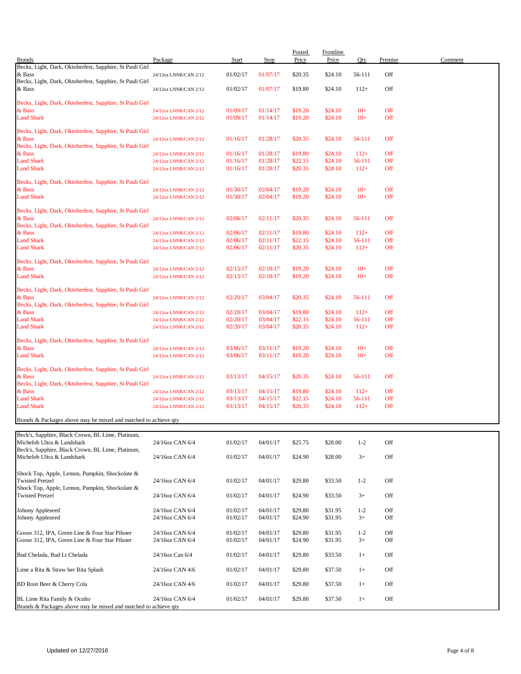| <b>Brands</b>                                                                   | Package                                        | <b>Start</b>         | Stop                 | Posted<br>Price    | <b>Frontline</b><br>Price | Qty              | Premise    | Comment |
|---------------------------------------------------------------------------------|------------------------------------------------|----------------------|----------------------|--------------------|---------------------------|------------------|------------|---------|
| Becks, Light, Dark, Oktoberfest, Sapphire, St Pauli Girl<br>& Bass              |                                                | 01/02/17             | 01/07/17             | \$20.35            | \$24.10                   | 56-111           | Off        |         |
| Becks, Light, Dark, Oktoberfest, Sapphire, St Pauli Girl                        | 24/12oz LNNR/CAN 2/12                          |                      |                      |                    |                           |                  |            |         |
| & Bass                                                                          | 24/12oz LNNR/CAN 2/12                          | 01/02/17             | 01/07/17             | \$19.80            | \$24.10                   | $112+$           | Off        |         |
| Becks, Light, Dark, Oktoberfest, Sapphire, St Pauli Girl                        |                                                |                      |                      |                    |                           |                  |            |         |
| & Bass                                                                          | 24/12oz LNNR/CAN 2/12                          | 01/09/17             | 01/14/17             | \$19.20            | \$24.10                   | $10+$<br>$10+$   | Off        |         |
| <b>Land Shark</b>                                                               | 24/12oz LNNR/CAN 2/12                          | 01/09/17             | 01/14/17             | \$19.20            | \$24.10                   |                  | Off        |         |
| Becks, Light, Dark, Oktoberfest, Sapphire, St Pauli Girl                        |                                                |                      |                      |                    |                           |                  |            |         |
| & Bass<br>Becks, Light, Dark, Oktoberfest, Sapphire, St Pauli Girl              | 24/12oz LNNR/CAN 2/12                          | 01/16/17             | 01/28/17             | \$20.35            | \$24.10                   | 56-111           | Off        |         |
| & Bass                                                                          | 24/12oz LNNR/CAN 2/12                          | 01/16/17             | 01/28/17             | \$19.80            | \$24.10                   | $112+$           | Off        |         |
| <b>Land Shark</b><br><b>Land Shark</b>                                          | 24/12oz LNNR/CAN 2/12                          | 01/16/17<br>01/16/17 | 01/28/17<br>01/28/17 | \$22.15<br>\$20.35 | \$24.10<br>\$24.10        | 56-111<br>$112+$ | Off<br>Off |         |
|                                                                                 | 24/12oz LNNR/CAN 2/12                          |                      |                      |                    |                           |                  |            |         |
| Becks, Light, Dark, Oktoberfest, Sapphire, St Pauli Girl                        |                                                |                      |                      |                    |                           |                  |            |         |
| & Bass<br><b>Land Shark</b>                                                     | 24/12oz LNNR/CAN 2/12<br>24/12oz LNNR/CAN 2/12 | 01/30/17<br>01/30/17 | 02/04/17<br>02/04/17 | \$19.20<br>\$19.20 | \$24.10<br>\$24.10        | $10+$<br>$10+$   | Off<br>Off |         |
|                                                                                 |                                                |                      |                      |                    |                           |                  |            |         |
| Becks, Light, Dark, Oktoberfest, Sapphire, St Pauli Girl<br>& Bass              | 24/12oz LNNR/CAN 2/12                          | 02/06/17             | 02/11/17             | \$20.35            | \$24.10                   | 56-111           | Off        |         |
| Becks, Light, Dark, Oktoberfest, Sapphire, St Pauli Girl                        |                                                |                      |                      |                    |                           |                  |            |         |
| & Bass                                                                          | 24/12oz LNNR/CAN 2/12                          | 02/06/17             | 02/11/17             | \$19.80            | \$24.10                   | $112+$           | Off        |         |
| <b>Land Shark</b><br><b>Land Shark</b>                                          | 24/12oz LNNR/CAN 2/12<br>24/12oz LNNR/CAN 2/12 | 02/06/17<br>02/06/17 | 02/11/17<br>02/11/17 | \$22.15<br>\$20.35 | \$24.10<br>\$24.10        | 56-111<br>$112+$ | Off<br>Off |         |
|                                                                                 |                                                |                      |                      |                    |                           |                  |            |         |
| Becks, Light, Dark, Oktoberfest, Sapphire, St Pauli Girl<br>& Bass              | 24/12oz LNNR/CAN 2/12                          | 02/13/17             | 02/18/17             | \$19.20            | \$24.10                   | $10+$            | Off        |         |
| <b>Land Shark</b>                                                               | 24/12oz LNNR/CAN 2/12                          | 02/13/17             | 02/18/17             | \$19.20            | \$24.10                   | $10+$            | Off        |         |
| Becks, Light, Dark, Oktoberfest, Sapphire, St Pauli Girl                        |                                                |                      |                      |                    |                           |                  |            |         |
| & Bass                                                                          | 24/12oz LNNR/CAN 2/12                          | 02/20/17             | 03/04/17             | \$20.35            | \$24.10                   | 56-111           | Off        |         |
| Becks, Light, Dark, Oktoberfest, Sapphire, St Pauli Girl                        |                                                |                      |                      |                    |                           |                  |            |         |
| & Bass<br><b>Land Shark</b>                                                     | 24/12oz LNNR/CAN 2/12<br>24/12oz LNNR/CAN 2/12 | 02/20/17<br>02/20/17 | 03/04/17<br>03/04/17 | \$19.80<br>\$22.15 | \$24.10<br>\$24.10        | $112+$<br>56-111 | Off<br>Off |         |
| <b>Land Shark</b>                                                               | 24/12oz LNNR/CAN 2/12                          | 02/20/17             | 03/04/17             | \$20.35            | \$24.10                   | $112+$           | Off        |         |
| Becks, Light, Dark, Oktoberfest, Sapphire, St Pauli Girl                        |                                                |                      |                      |                    |                           |                  |            |         |
| & Bass                                                                          | 24/12oz LNNR/CAN 2/12                          | 03/06/17             | 03/11/17             | \$19.20            | \$24.10                   | $10+$            | Off        |         |
| <b>Land Shark</b>                                                               | 24/12oz LNNR/CAN 2/12                          | 03/06/17             | 03/11/17             | \$19.20            | \$24.10                   | $10+$            | Off        |         |
| Becks, Light, Dark, Oktoberfest, Sapphire, St Pauli Girl                        |                                                |                      |                      |                    |                           |                  |            |         |
| & Bass                                                                          | 24/12oz LNNR/CAN 2/12                          | 03/13/17             | 04/15/17             | \$20.35            | \$24.10                   | 56-111           | Off        |         |
| Becks, Light, Dark, Oktoberfest, Sapphire, St Pauli Girl<br>& Bass              | 24/12oz LNNR/CAN 2/12                          | 03/13/17             | 04/15/17             | \$19.80            | \$24.10                   | $112+$           | Off        |         |
| <b>Land Shark</b>                                                               | 24/12oz LNNR/CAN 2/12                          | 03/13/17             | 04/15/17             | \$22.15            | \$24.10                   | 56-111           | Off        |         |
| <b>Land Shark</b>                                                               | 24/12oz LNNR/CAN 2/12                          | 03/13/17             | 04/15/17             | \$20.35            | \$24.10                   | $112+$           | Off        |         |
| Brands & Packages above may be mixed and matched to achieve qty                 |                                                |                      |                      |                    |                           |                  |            |         |
|                                                                                 |                                                |                      |                      |                    |                           |                  |            |         |
| Beck's, Sapphire, Black Crown, BL Lime, Platinum,<br>Michelob Ultra & Landshark | 24/16oz CAN 6/4                                | 01/02/17             | 04/01/17             | \$25.75            | \$28.00                   | $1 - 2$          | Off        |         |
| Beck's, Sapphire, Black Crown, BL Lime, Platinum,                               |                                                |                      |                      |                    |                           |                  |            |         |
| Michelob Ultra & Landshark                                                      | 24/16oz CAN 6/4                                | 01/02/17             | 04/01/17             | \$24.90            | \$28.00                   | $3+$             | Off        |         |
| Shock Top, Apple, Lemon, Pumpkin, Shockolate &                                  |                                                |                      |                      |                    |                           |                  |            |         |
| <b>Twisted Pretzel</b>                                                          | 24/16oz CAN 6/4                                | 01/02/17             | 04/01/17             | \$29.80            | \$33.50                   | $1 - 2$          | Off        |         |
| Shock Top, Apple, Lemon, Pumpkin, Shockolate &<br><b>Twisted Pretzel</b>        | 24/16oz CAN 6/4                                | 01/02/17             | 04/01/17             | \$24.90            | \$33.50                   | $3+$             | Off        |         |
|                                                                                 |                                                |                      |                      |                    |                           |                  |            |         |
| Johnny Appleseed                                                                | 24/16oz CAN 6/4                                | 01/02/17             | 04/01/17             | \$29.80            | \$31.95                   | $1 - 2$          | Off        |         |
| Johnny Appleseed                                                                | 24/16oz CAN 6/4                                | 01/02/17             | 04/01/17             | \$24.90            | \$31.95                   | $3+$             | Off        |         |
| Goose 312, IPA, Green Line & Four Star Pilsner                                  | 24/16oz CAN 6/4                                | 01/02/17             | 04/01/17             | \$29.80            | \$31.95                   | $1 - 2$          | Off        |         |
| Goose 312, IPA, Green Line & Four Star Pilsner                                  | 24/16oz CAN 6/4                                | 01/02/17             | 04/01/17             | \$24.90            | \$31.95                   | $3+$             | Off        |         |
| Bud Chelada, Bud Lt Chelada                                                     | 24/16oz Can 6/4                                | 01/02/17             | 04/01/17             | \$29.80            | \$33.50                   | $1+$             | Off        |         |
|                                                                                 |                                                |                      |                      |                    |                           |                  |            |         |
| Lime a Rita & Straw ber Rita Splash                                             | 24/16oz CAN 4/6                                | 01/02/17             | 04/01/17             | \$29.80            | \$37.50                   | $1+$             | Off        |         |
| BD Root Beer & Cherry Cola                                                      | 24/16oz CAN 4/6                                | 01/02/17             | 04/01/17             | \$29.80            | \$37.50                   | $1+$             | Off        |         |
| BL Lime Rita Family & Oculto                                                    | 24/16oz CAN 6/4                                | 01/02/17             | 04/01/17             | \$29.80            | \$37.50                   | $1+$             | Off        |         |
| Brands & Packages above may be mixed and matched to achieve qty                 |                                                |                      |                      |                    |                           |                  |            |         |

Updated on 12/27/2016 Page 4 of 8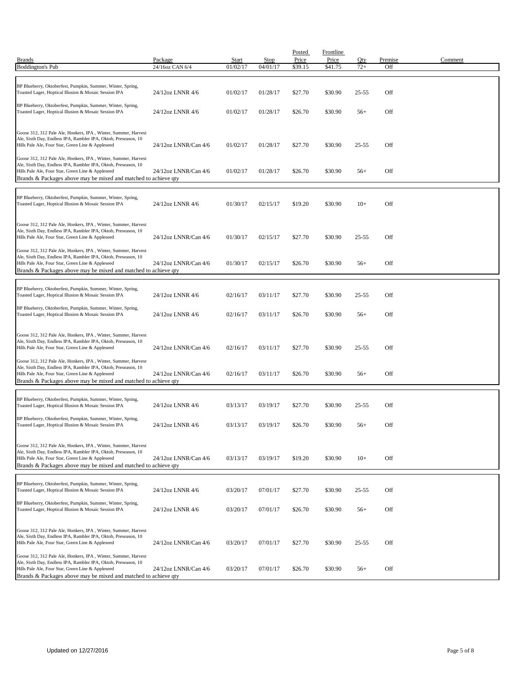| <b>Brands</b><br><b>Boddington's Pub</b>                                                                                                                                                                                                                 | Package<br>24/16oz CAN 6/4 | Start<br>01/02/17 | <b>Stop</b><br>04/01/17 | Posted<br>Price<br>\$39.15 | <b>Frontline</b><br>Price<br>\$41.75 | Qty<br>$72+$ | Premise<br>Off | Comment |
|----------------------------------------------------------------------------------------------------------------------------------------------------------------------------------------------------------------------------------------------------------|----------------------------|-------------------|-------------------------|----------------------------|--------------------------------------|--------------|----------------|---------|
|                                                                                                                                                                                                                                                          |                            |                   |                         |                            |                                      |              |                |         |
| BP Blueberry, Oktoberfest, Pumpkin, Summer, Winter, Spring,<br>Toasted Lager, Hoptical Illusion & Mosaic Session IPA                                                                                                                                     | 24/12oz LNNR 4/6           | 01/02/17          | 01/28/17                | \$27.70                    | \$30.90                              | $25 - 55$    | Off            |         |
| BP Blueberry, Oktoberfest, Pumpkin, Summer, Winter, Spring,<br>Toasted Lager, Hoptical Illusion & Mosaic Session IPA                                                                                                                                     | 24/12oz LNNR 4/6           | 01/02/17          | 01/28/17                | \$26.70                    | \$30.90                              | $56+$        | Off            |         |
| Goose 312, 312 Pale Ale, Honkers, IPA, Winter, Summer, Harvest<br>Ale, Sixth Day, Endless IPA, Rambler IPA, Oktob, Preseason, 10<br>Hills Pale Ale, Four Star, Green Line & Appleseed                                                                    | 24/12oz LNNR/Can 4/6       | 01/02/17          | 01/28/17                | \$27.70                    | \$30.90                              | $25 - 55$    | Off            |         |
| Goose 312, 312 Pale Ale, Honkers, IPA, Winter, Summer, Harvest<br>Ale, Sixth Day, Endless IPA, Rambler IPA, Oktob, Preseason, 10<br>Hills Pale Ale, Four Star, Green Line & Appleseed<br>Brands & Packages above may be mixed and matched to achieve qty | 24/12oz LNNR/Can 4/6       | 01/02/17          | 01/28/17                | \$26.70                    | \$30.90                              | $56+$        | Off            |         |
| BP Blueberry, Oktoberfest, Pumpkin, Summer, Winter, Spring,<br>Toasted Lager, Hoptical Illusion & Mosaic Session IPA                                                                                                                                     | 24/12oz LNNR 4/6           | 01/30/17          | 02/15/17                | \$19.20                    | \$30.90                              | $10+$        | Off            |         |
| Goose 312, 312 Pale Ale, Honkers, IPA, Winter, Summer, Harvest<br>Ale, Sixth Day, Endless IPA, Rambler IPA, Oktob, Preseason, 10<br>Hills Pale Ale, Four Star, Green Line & Appleseed                                                                    | 24/12oz LNNR/Can 4/6       | 01/30/17          | 02/15/17                | \$27.70                    | \$30.90                              | $25 - 55$    | Off            |         |
| Goose 312, 312 Pale Ale, Honkers, IPA, Winter, Summer, Harvest<br>Ale, Sixth Day, Endless IPA, Rambler IPA, Oktob, Preseason, 10<br>Hills Pale Ale, Four Star, Green Line & Appleseed<br>Brands & Packages above may be mixed and matched to achieve qty | 24/12oz LNNR/Can 4/6       | 01/30/17          | 02/15/17                | \$26.70                    | \$30.90                              | $56+$        | Off            |         |
| BP Blueberry, Oktoberfest, Pumpkin, Summer, Winter, Spring,<br>Toasted Lager, Hoptical Illusion & Mosaic Session IPA                                                                                                                                     | 24/12oz LNNR 4/6           | 02/16/17          | 03/11/17                | \$27.70                    | \$30.90                              | $25 - 55$    | Off            |         |
| BP Blueberry, Oktoberfest, Pumpkin, Summer, Winter, Spring,<br>Toasted Lager, Hoptical Illusion & Mosaic Session IPA                                                                                                                                     | 24/12oz LNNR 4/6           | 02/16/17          | 03/11/17                | \$26.70                    | \$30.90                              | $56+$        | Off            |         |
| Goose 312, 312 Pale Ale, Honkers, IPA, Winter, Summer, Harvest<br>Ale, Sixth Day, Endless IPA, Rambler IPA, Oktob, Preseason, 10<br>Hills Pale Ale, Four Star, Green Line & Appleseed                                                                    | 24/12oz LNNR/Can 4/6       | 02/16/17          | 03/11/17                | \$27.70                    | \$30.90                              | $25 - 55$    | Off            |         |
| Goose 312, 312 Pale Ale, Honkers, IPA, Winter, Summer, Harvest<br>Ale, Sixth Day, Endless IPA, Rambler IPA, Oktob, Preseason, 10<br>Hills Pale Ale, Four Star, Green Line & Appleseed<br>Brands & Packages above may be mixed and matched to achieve qty | 24/12oz LNNR/Can 4/6       | 02/16/17          | 03/11/17                | \$26.70                    | \$30.90                              | $56+$        | Off            |         |
| BP Blueberry, Oktoberfest, Pumpkin, Summer, Winter, Spring,<br>Toasted Lager, Hoptical Illusion & Mosaic Session IPA                                                                                                                                     | 24/12oz LNNR 4/6           | 03/13/17          | 03/19/17                | \$27.70                    | \$30.90                              | 25-55        | Off            |         |
| BP Blueberry, Oktoberfest, Pumpkin, Summer, Winter, Spring,<br>Toasted Lager, Hoptical Illusion & Mosaic Session IPA                                                                                                                                     | 24/12oz LNNR 4/6           | 03/13/17          | 03/19/17                | \$26.70                    | \$30.90                              | $56+$        | Off            |         |
| Goose 312, 312 Pale Ale, Honkers, IPA, Winter, Summer, Harvest<br>Ale, Sixth Day, Endless IPA, Rambler IPA, Oktob, Preseason, 10<br>Hills Pale Ale, Four Star, Green Line & Appleseed<br>Brands & Packages above may be mixed and matched to achieve qty | 24/12oz LNNR/Can 4/6       | 03/13/17          | 03/19/17                | \$19.20                    | \$30.90                              | $10+$        | Off            |         |
| BP Blueberry, Oktoberfest, Pumpkin, Summer, Winter, Spring,<br>Toasted Lager, Hoptical Illusion & Mosaic Session IPA                                                                                                                                     | 24/12oz LNNR 4/6           | 03/20/17          | 07/01/17                | \$27.70                    | \$30.90                              | $25 - 55$    | Off            |         |
| BP Blueberry, Oktoberfest, Pumpkin, Summer, Winter, Spring,<br>Toasted Lager, Hoptical Illusion & Mosaic Session IPA                                                                                                                                     | 24/12oz LNNR 4/6           | 03/20/17          | 07/01/17                | \$26.70                    | \$30.90                              | $56+$        | Off            |         |
| Goose 312, 312 Pale Ale, Honkers, IPA, Winter, Summer, Harvest<br>Ale, Sixth Day, Endless IPA, Rambler IPA, Oktob, Preseason, 10<br>Hills Pale Ale, Four Star, Green Line & Appleseed                                                                    | 24/12oz LNNR/Can 4/6       | 03/20/17          | 07/01/17                | \$27.70                    | \$30.90                              | $25 - 55$    | Off            |         |
| Goose 312, 312 Pale Ale, Honkers, IPA, Winter, Summer, Harvest<br>Ale, Sixth Day, Endless IPA, Rambler IPA, Oktob, Preseason, 10<br>Hills Pale Ale, Four Star, Green Line & Appleseed<br>Brands & Packages above may be mixed and matched to achieve qty | 24/12oz LNNR/Can 4/6       | 03/20/17          | 07/01/17                | \$26.70                    | \$30.90                              | $56+$        | Off            |         |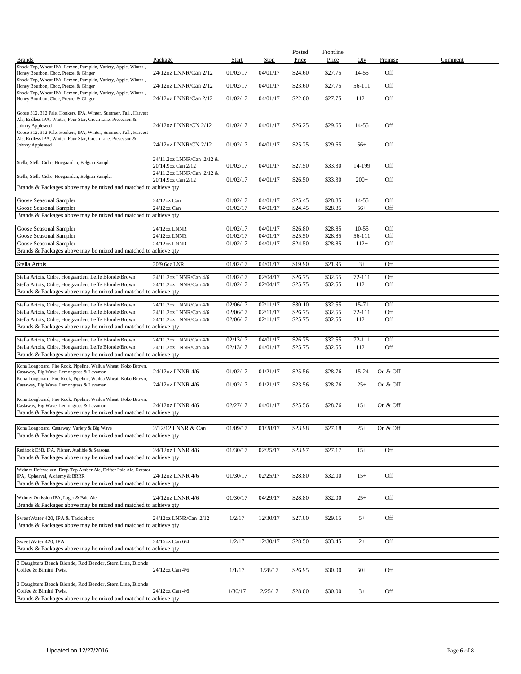|                                                                                                        |                           |          |             | Posted  | <b>Frontline</b> |         |          |         |
|--------------------------------------------------------------------------------------------------------|---------------------------|----------|-------------|---------|------------------|---------|----------|---------|
| <b>Brands</b>                                                                                          | Package                   | Start    | <b>Stop</b> | Price   | Price            | Qty     | Premise  | Comment |
| Shock Top, Wheat IPA, Lemon, Pumpkin, Variety, Apple, Winter,                                          |                           |          |             |         |                  |         |          |         |
| Honey Bourbon, Choc, Pretzel & Ginger                                                                  | 24/12oz LNNR/Can 2/12     | 01/02/17 | 04/01/17    | \$24.60 | \$27.75          | 14-55   | Off      |         |
| Shock Top, Wheat IPA, Lemon, Pumpkin, Variety, Apple, Winter,                                          |                           |          |             |         |                  |         |          |         |
| Honey Bourbon, Choc, Pretzel & Ginger                                                                  | 24/12oz LNNR/Can 2/12     | 01/02/17 | 04/01/17    | \$23.60 | \$27.75          | 56-111  | Off      |         |
| Shock Top, Wheat IPA, Lemon, Pumpkin, Variety, Apple, Winter,<br>Honey Bourbon, Choc, Pretzel & Ginger | 24/12oz LNNR/Can 2/12     | 01/02/17 | 04/01/17    | \$22.60 | \$27.75          | $112+$  | Off      |         |
|                                                                                                        |                           |          |             |         |                  |         |          |         |
| Goose 312, 312 Pale, Honkers, IPA, Winter, Summer, Fall, Harvest                                       |                           |          |             |         |                  |         |          |         |
| Ale, Endless IPA, Winter, Four Star, Green Line, Preseason &                                           |                           |          |             |         |                  |         |          |         |
| Johnny Appleseed                                                                                       | 24/12oz LNNR/CN 2/12      | 01/02/17 | 04/01/17    | \$26.25 | \$29.65          | 14-55   | Off      |         |
| Goose 312, 312 Pale, Honkers, IPA, Winter, Summer, Fall, Harvest                                       |                           |          |             |         |                  |         |          |         |
| Ale, Endless IPA, Winter, Four Star, Green Line, Preseason &                                           |                           |          |             |         |                  |         |          |         |
| Johnny Appleseed                                                                                       | 24/12oz LNNR/CN 2/12      | 01/02/17 | 04/01/17    | \$25.25 | \$29.65          | $56+$   | Off      |         |
|                                                                                                        |                           |          |             |         |                  |         |          |         |
| Stella, Stella Cidre, Hoegaarden, Belgian Sampler                                                      | 24/11.2oz LNNR/Can 2/12 & |          |             |         |                  |         |          |         |
|                                                                                                        | 20/14.9oz Can 2/12        | 01/02/17 | 04/01/17    | \$27.50 | \$33.30          | 14-199  | Off      |         |
| Stella, Stella Cidre, Hoegaarden, Belgian Sampler                                                      | 24/11.2oz LNNR/Can 2/12 & |          |             |         |                  |         |          |         |
|                                                                                                        | 20/14.9oz Can 2/12        | 01/02/17 | 04/01/17    | \$26.50 | \$33.30          | $200+$  | Off      |         |
| Brands & Packages above may be mixed and matched to achieve qty                                        |                           |          |             |         |                  |         |          |         |
|                                                                                                        | 24/12oz Can               |          |             |         |                  | 14-55   | Off      |         |
| Goose Seasonal Sampler                                                                                 |                           | 01/02/17 | 04/01/17    | \$25.45 | \$28.85          |         |          |         |
| Goose Seasonal Sampler                                                                                 | 24/12oz Can               | 01/02/17 | 04/01/17    | \$24.45 | \$28.85          | $56+$   | Off      |         |
| Brands & Packages above may be mixed and matched to achieve qty                                        |                           |          |             |         |                  |         |          |         |
| Goose Seasonal Sampler                                                                                 | 24/12oz LNNR              | 01/02/17 | 04/01/17    | \$26.80 | \$28.85          | $10-55$ | Off      |         |
| Goose Seasonal Sampler                                                                                 | 24/12oz LNNR              | 01/02/17 | 04/01/17    | \$25.50 | \$28.85          | 56-111  | Off      |         |
| Goose Seasonal Sampler                                                                                 | 24/12oz LNNR              | 01/02/17 | 04/01/17    | \$24.50 | \$28.85          | $112+$  | Off      |         |
|                                                                                                        |                           |          |             |         |                  |         |          |         |
| Brands & Packages above may be mixed and matched to achieve qty                                        |                           |          |             |         |                  |         |          |         |
| Stella Artois                                                                                          | 20/9.6oz LNR              | 01/02/17 | 04/01/17    | \$19.90 | \$21.95          | $3+$    | Off      |         |
|                                                                                                        |                           |          |             |         |                  |         |          |         |
| Stella Artois, Cidre, Hoegaarden, Leffe Blonde/Brown                                                   | 24/11.2oz LNNR/Can 4/6    | 01/02/17 | 02/04/17    | \$26.75 | \$32.55          | 72-111  | Off      |         |
| Stella Artois, Cidre, Hoegaarden, Leffe Blonde/Brown                                                   | 24/11.2oz LNNR/Can 4/6    | 01/02/17 | 02/04/17    | \$25.75 | \$32.55          | $112+$  | Off      |         |
| Brands & Packages above may be mixed and matched to achieve qty                                        |                           |          |             |         |                  |         |          |         |
|                                                                                                        |                           |          |             |         |                  |         |          |         |
| Stella Artois, Cidre, Hoegaarden, Leffe Blonde/Brown                                                   | 24/11.2oz LNNR/Can 4/6    | 02/06/17 | 02/11/17    | \$30.10 | \$32.55          | 15-71   | Off      |         |
| Stella Artois, Cidre, Hoegaarden, Leffe Blonde/Brown                                                   | 24/11.2oz LNNR/Can 4/6    | 02/06/17 | 02/11/17    | \$26.75 | \$32.55          | 72-111  | Off      |         |
| Stella Artois, Cidre, Hoegaarden, Leffe Blonde/Brown                                                   | 24/11.2oz LNNR/Can 4/6    | 02/06/17 | 02/11/17    | \$25.75 | \$32.55          | $112+$  | Off      |         |
| Brands & Packages above may be mixed and matched to achieve qty                                        |                           |          |             |         |                  |         |          |         |
|                                                                                                        |                           |          |             |         |                  |         |          |         |
| Stella Artois, Cidre, Hoegaarden, Leffe Blonde/Brown                                                   | 24/11.2oz LNNR/Can 4/6    | 02/13/17 | 04/01/17    | \$26.75 | \$32.55          | 72-111  | Off      |         |
| Stella Artois, Cidre, Hoegaarden, Leffe Blonde/Brown                                                   | 24/11.2oz LNNR/Can 4/6    | 02/13/17 | 04/01/17    | \$25.75 | \$32.55          | $112+$  | Off      |         |
| Brands & Packages above may be mixed and matched to achieve qty                                        |                           |          |             |         |                  |         |          |         |
| Kona Longboard, Fire Rock, Pipeline, Wailua Wheat, Koko Brown,                                         |                           |          |             |         |                  |         |          |         |
| Castaway, Big Wave, Lemongrass & Lavaman                                                               | 24/12oz LNNR 4/6          | 01/02/17 | 01/21/17    | \$25.56 | \$28.76          | 15-24   | On & Off |         |
| Kona Longboard, Fire Rock, Pipeline, Wailua Wheat, Koko Brown,                                         |                           |          |             |         |                  |         |          |         |
| Castaway, Big Wave, Lemongrass & Lavaman                                                               | 24/12oz LNNR 4/6          | 01/02/17 | 01/21/17    | \$23.56 | \$28.76          | $25+$   | On & Off |         |
|                                                                                                        |                           |          |             |         |                  |         |          |         |
| Kona Longboard, Fire Rock, Pipeline, Wailua Wheat, Koko Brown,                                         |                           |          |             |         |                  |         |          |         |
| Castaway, Big Wave, Lemongrass & Lavaman                                                               | 24/12oz LNNR 4/6          | 02/27/17 | 04/01/17    | \$25.56 | \$28.76          | $15+$   | On & Off |         |
| Brands & Packages above may be mixed and matched to achieve qty                                        |                           |          |             |         |                  |         |          |         |
|                                                                                                        |                           |          |             |         |                  |         |          |         |
| Kona Longboard, Castaway, Variety & Big Wave                                                           | 2/12/12 LNNR & Can        | 01/09/17 | 01/28/17    | \$23.98 | \$27.18          | $25+$   | On & Off |         |
| Brands & Packages above may be mixed and matched to achieve qty                                        |                           |          |             |         |                  |         |          |         |
|                                                                                                        |                           |          |             |         |                  |         |          |         |
| Redhook ESB, IPA, Pilsner, Audible & Seasonal                                                          | 24/12oz LNNR 4/6          | 01/30/17 | 02/25/17    | \$23.97 | \$27.17          | $15+$   | Off      |         |
| Brands & Packages above may be mixed and matched to achieve gty                                        |                           |          |             |         |                  |         |          |         |
|                                                                                                        |                           |          |             |         |                  |         |          |         |
| Widmer Hefeweizen, Drop Top Amber Ale, Drifter Pale Ale, Rotator                                       |                           |          |             |         |                  |         |          |         |
| IPA, Upheaval, Alchemy & BRRR                                                                          | 24/12oz LNNR 4/6          | 01/30/17 | 02/25/17    | \$28.80 | \$32.00          | $15+$   | Off      |         |
| Brands & Packages above may be mixed and matched to achieve qty                                        |                           |          |             |         |                  |         |          |         |
|                                                                                                        |                           |          |             |         |                  |         |          |         |
| Widmer Omission IPA, Lager & Pale Ale                                                                  | 24/12oz LNNR 4/6          | 01/30/17 | 04/29/17    | \$28.80 | \$32.00          | $25+$   | Off      |         |
| Brands & Packages above may be mixed and matched to achieve qty                                        |                           |          |             |         |                  |         |          |         |
| SweetWater 420, IPA & Tacklebox                                                                        | 24/12oz LNNR/Can 2/12     | 1/2/17   | 12/30/17    | \$27.00 | \$29.15          | $5+$    | Off      |         |
| Brands & Packages above may be mixed and matched to achieve gty                                        |                           |          |             |         |                  |         |          |         |
|                                                                                                        |                           |          |             |         |                  |         |          |         |
|                                                                                                        |                           |          |             |         |                  |         |          |         |
| SweetWater 420, IPA                                                                                    | 24/16oz Can 6/4           | 1/2/17   | 12/30/17    | \$28.50 | \$33.45          | $2+$    | Off      |         |
| Brands & Packages above may be mixed and matched to achieve qty                                        |                           |          |             |         |                  |         |          |         |
|                                                                                                        |                           |          |             |         |                  |         |          |         |
| 3 Daughters Beach Blonde, Rod Bender, Stern Line, Blonde<br>Coffee & Bimini Twist                      |                           |          |             |         |                  |         | Off      |         |
|                                                                                                        | 24/12oz Can 4/6           | 1/1/17   | 1/28/17     | \$26.95 | \$30.00          | $50+$   |          |         |
| 3 Daughters Beach Blonde, Rod Bender, Stern Line, Blonde                                               |                           |          |             |         |                  |         |          |         |
| Coffee & Bimini Twist                                                                                  | 24/12oz Can 4/6           | 1/30/17  | 2/25/17     | \$28.00 | \$30.00          | $3+$    | Off      |         |
| Brands & Packages above may be mixed and matched to achieve qty                                        |                           |          |             |         |                  |         |          |         |
|                                                                                                        |                           |          |             |         |                  |         |          |         |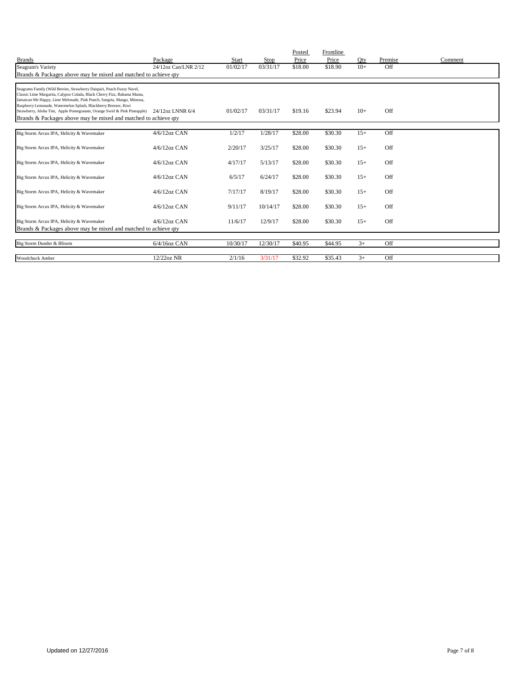| <b>Brands</b>                                                                                                                                                                                                                                                                                                                                                                                                                                                  | Package              | Start    | Stop     | Posted<br>Price | Frontline<br>Price | Oty   | Premise | Comment |
|----------------------------------------------------------------------------------------------------------------------------------------------------------------------------------------------------------------------------------------------------------------------------------------------------------------------------------------------------------------------------------------------------------------------------------------------------------------|----------------------|----------|----------|-----------------|--------------------|-------|---------|---------|
|                                                                                                                                                                                                                                                                                                                                                                                                                                                                | 24/12oz Can/LNR 2/12 | 01/02/17 | 03/31/17 | \$18.00         | \$18.90            | $10+$ | Off     |         |
| Seagram's Variety                                                                                                                                                                                                                                                                                                                                                                                                                                              |                      |          |          |                 |                    |       |         |         |
| Brands & Packages above may be mixed and matched to achieve qty                                                                                                                                                                                                                                                                                                                                                                                                |                      |          |          |                 |                    |       |         |         |
| Seagrams Family (Wild Berries, Strawberry Daiquiri, Peach Fuzzy Navel,<br>Classic Lime Margarita, Calypso Colada, Black Cherry Fizz, Bahama Mama,<br>Jamaican Me Happy, Lime Melonade, Pink Punch, Sangria, Mango, Mimosa,<br>Raspberry Lemonade, Watermelon Splash, Blackberry Breezer, Kiwi<br>Strawberry, Aloha Tini, Apple Pomegranate, Orange Swirl & Pink Pineapple) 24/12oz LNNR 6/4<br>Brands & Packages above may be mixed and matched to achieve gty |                      | 01/02/17 | 03/31/17 | \$19.16         | \$23.94            | $10+$ | Off     |         |
| Big Storm Arcus IPA, Helicity & Wavemaker                                                                                                                                                                                                                                                                                                                                                                                                                      | $4/6/12$ oz CAN      | 1/2/17   | 1/28/17  | \$28.00         | \$30.30            | $15+$ | Off     |         |
|                                                                                                                                                                                                                                                                                                                                                                                                                                                                |                      |          |          |                 |                    |       |         |         |
| Big Storm Arcus IPA, Helicity & Wavemaker                                                                                                                                                                                                                                                                                                                                                                                                                      | $4/6/12$ oz CAN      | 2/20/17  | 3/25/17  | \$28.00         | \$30.30            | $15+$ | Off     |         |
| Big Storm Arcus IPA, Helicity & Wavemaker                                                                                                                                                                                                                                                                                                                                                                                                                      | $4/6/12$ oz CAN      | 4/17/17  | 5/13/17  | \$28.00         | \$30.30            | $15+$ | Off     |         |
| Big Storm Arcus IPA, Helicity & Wavemaker                                                                                                                                                                                                                                                                                                                                                                                                                      | $4/6/12$ oz CAN      | 6/5/17   | 6/24/17  | \$28.00         | \$30.30            | $15+$ | Off     |         |
| Big Storm Arcus IPA, Helicity & Wavemaker                                                                                                                                                                                                                                                                                                                                                                                                                      | $4/6/12$ oz CAN      | 7/17/17  | 8/19/17  | \$28.00         | \$30.30            | $15+$ | Off     |         |
| Big Storm Arcus IPA, Helicity & Wavemaker                                                                                                                                                                                                                                                                                                                                                                                                                      | $4/6/12$ oz CAN      | 9/11/17  | 10/14/17 | \$28.00         | \$30.30            | $15+$ | Off     |         |
| Big Storm Arcus IPA, Helicity & Wavemaker<br>Brands & Packages above may be mixed and matched to achieve qty                                                                                                                                                                                                                                                                                                                                                   | $4/6/12$ oz CAN      | 11/6/17  | 12/9/17  | \$28.00         | \$30.30            | $15+$ | Off     |         |
|                                                                                                                                                                                                                                                                                                                                                                                                                                                                |                      |          |          |                 |                    |       |         |         |
| Big Storm Dunder & Blixem                                                                                                                                                                                                                                                                                                                                                                                                                                      | 6/4/16oz CAN         | 10/30/17 | 12/30/17 | \$40.95         | \$44.95            | $3+$  | Off     |         |
| <b>Woodchuck Amber</b>                                                                                                                                                                                                                                                                                                                                                                                                                                         | 12/22oz NR           | 2/1/16   | 3/31/17  | \$32.92         | \$35.43            | $3+$  | Off     |         |
|                                                                                                                                                                                                                                                                                                                                                                                                                                                                |                      |          |          |                 |                    |       |         |         |